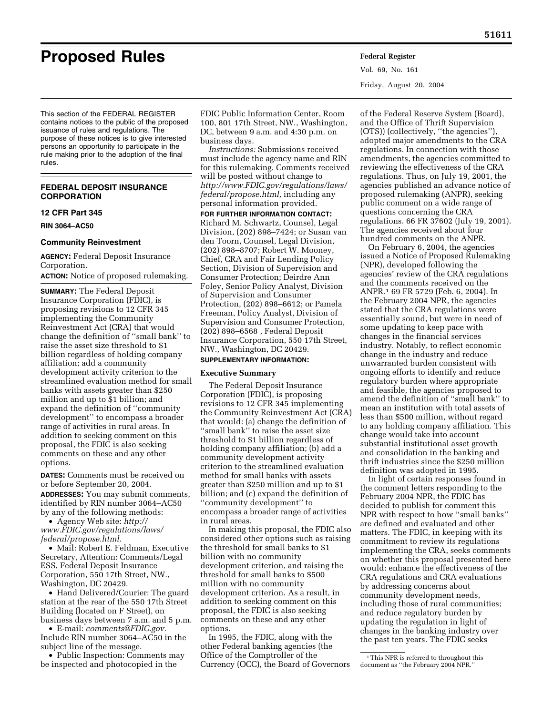**Proposed Rules Federal Register**

Vol. 69, No. 161 Friday, August 20, 2004

This section of the FEDERAL REGISTER contains notices to the public of the proposed issuance of rules and regulations. The purpose of these notices is to give interested persons an opportunity to participate in the rule making prior to the adoption of the final rules.

## **FEDERAL DEPOSIT INSURANCE CORPORATION**

### **12 CFR Part 345**

**RIN 3064–AC50** 

#### **Community Reinvestment**

**AGENCY:** Federal Deposit Insurance Corporation.

**ACTION:** Notice of proposed rulemaking.

**SUMMARY:** The Federal Deposit Insurance Corporation (FDIC), is proposing revisions to 12 CFR 345 implementing the Community Reinvestment Act (CRA) that would change the definition of ''small bank'' to raise the asset size threshold to \$1 billion regardless of holding company affiliation; add a community development activity criterion to the streamlined evaluation method for small banks with assets greater than \$250 million and up to \$1 billion; and expand the definition of ''community development'' to encompass a broader range of activities in rural areas. In addition to seeking comment on this proposal, the FDIC is also seeking comments on these and any other options.

**DATES:** Comments must be received on or before September 20, 2004. **ADDRESSES:** You may submit comments, identified by RIN number 3064–AC50 by any of the following methods:

• Agency Web site: *http:// www.FDIC.gov/regulations/laws/ federal/propose.html.*

• Mail: Robert E. Feldman, Executive Secretary, Attention: Comments/Legal ESS, Federal Deposit Insurance Corporation, 550 17th Street, NW., Washington, DC 20429.

• Hand Delivered/Courier: The guard station at the rear of the 550 17th Street Building (located on F Street), on business days between 7 a.m. and 5 p.m.

• E-mail: *comments@FDIC.gov.* Include RIN number 3064–AC50 in the subject line of the message.

• Public Inspection: Comments may be inspected and photocopied in the

FDIC Public Information Center, Room 100, 801 17th Street, NW., Washington, DC, between 9 a.m. and 4:30 p.m. on business days.

*Instructions:* Submissions received must include the agency name and RIN for this rulemaking. Comments received will be posted without change to *http://www.FDIC.gov/regulations/laws/ federal/propose.html,* including any personal information provided.

**FOR FURTHER INFORMATION CONTACT:** Richard M. Schwartz, Counsel, Legal Division, (202) 898–7424; or Susan van den Toorn, Counsel, Legal Division, (202) 898–8707; Robert W. Mooney, Chief, CRA and Fair Lending Policy Section, Division of Supervision and Consumer Protection; Deirdre Ann Foley, Senior Policy Analyst, Division of Supervision and Consumer Protection, (202) 898–6612; or Pamela Freeman, Policy Analyst, Division of Supervision and Consumer Protection, (202) 898–6568 , Federal Deposit Insurance Corporation, 550 17th Street, NW., Washington, DC 20429.

## **SUPPLEMENTARY INFORMATION:**

#### **Executive Summary**

The Federal Deposit Insurance Corporation (FDIC), is proposing revisions to 12 CFR 345 implementing the Community Reinvestment Act (CRA) that would: (a) change the definition of ''small bank'' to raise the asset size threshold to \$1 billion regardless of holding company affiliation; (b) add a community development activity criterion to the streamlined evaluation method for small banks with assets greater than \$250 million and up to \$1 billion; and (c) expand the definition of ''community development'' to encompass a broader range of activities in rural areas.

In making this proposal, the FDIC also considered other options such as raising the threshold for small banks to \$1 billion with no community development criterion, and raising the threshold for small banks to \$500 million with no community development criterion. As a result, in addition to seeking comment on this proposal, the FDIC is also seeking comments on these and any other options.

In 1995, the FDIC, along with the other Federal banking agencies (the Office of the Comptroller of the Currency (OCC), the Board of Governors

of the Federal Reserve System (Board), and the Office of Thrift Supervision (OTS)) (collectively, ''the agencies''), adopted major amendments to the CRA regulations. In connection with those amendments, the agencies committed to reviewing the effectiveness of the CRA regulations. Thus, on July 19, 2001, the agencies published an advance notice of proposed rulemaking (ANPR), seeking public comment on a wide range of questions concerning the CRA regulations. 66 FR 37602 (July 19, 2001). The agencies received about four hundred comments on the ANPR.

On February 6, 2004, the agencies issued a Notice of Proposed Rulemaking (NPR), developed following the agencies' review of the CRA regulations and the comments received on the ANPR.1 69 FR 5729 (Feb. 6, 2004). In the February 2004 NPR, the agencies stated that the CRA regulations were essentially sound, but were in need of some updating to keep pace with changes in the financial services industry. Notably, to reflect economic change in the industry and reduce unwarranted burden consistent with ongoing efforts to identify and reduce regulatory burden where appropriate and feasible, the agencies proposed to amend the definition of ''small bank'' to mean an institution with total assets of less than \$500 million, without regard to any holding company affiliation. This change would take into account substantial institutional asset growth and consolidation in the banking and thrift industries since the \$250 million definition was adopted in 1995.

In light of certain responses found in the comment letters responding to the February 2004 NPR, the FDIC has decided to publish for comment this NPR with respect to how ''small banks'' are defined and evaluated and other matters. The FDIC, in keeping with its commitment to review its regulations implementing the CRA, seeks comments on whether this proposal presented here would: enhance the effectiveness of the CRA regulations and CRA evaluations by addressing concerns about community development needs, including those of rural communities; and reduce regulatory burden by updating the regulation in light of changes in the banking industry over the past ten years. The FDIC seeks

<sup>&</sup>lt;sup>1</sup>This NPR is referred to throughout this document as ''the February 2004 NPR.''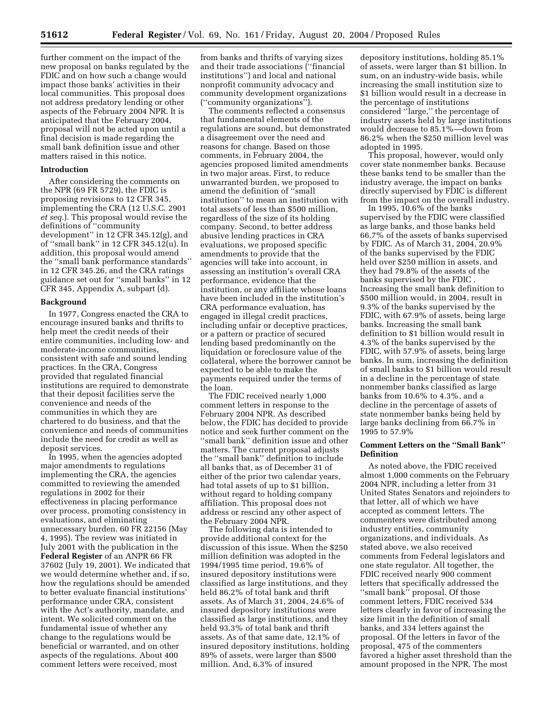further comment on the impact of the new proposal on banks regulated by the FDIC and on how such a change would impact those banks' activities in their local communities. This proposal does not address predatory lending or other aspects of the February 2004 NPR. It is anticipated that the February 2004, proposal will not be acted upon until a final decision is made regarding the small bank definition issue and other matters raised in this notice.

#### **Introduction**

After considering the comments on the NPR (69 FR 5729), the FDIC is proposing revisions to 12 CFR 345, implementing the CRA (12 U.S.C. 2901 *et seq.*). This proposal would revise the definitions of ''community development'' in 12 CFR 345.12(g), and of ''small bank'' in 12 CFR 345.12(u). In addition, this proposal would amend the ''small bank performance standards'' in 12 CFR 345.26, and the CRA ratings guidance set out for ''small banks'' in 12 CFR 345, Appendix A, subpart (d).

#### **Background**

In 1977, Congress enacted the CRA to encourage insured banks and thrifts to help meet the credit needs of their entire communities, including low- and moderate-income communities, consistent with safe and sound lending practices. In the CRA, Congress provided that regulated financial institutions are required to demonstrate that their deposit facilities serve the convenience and needs of the communities in which they are chartered to do business, and that the convenience and needs of communities include the need for credit as well as deposit services.

In 1995, when the agencies adopted major amendments to regulations implementing the CRA, the agencies committed to reviewing the amended regulations in 2002 for their effectiveness in placing performance over process, promoting consistency in evaluations, and eliminating unnecessary burden. 60 FR 22156 (May 4, 1995). The review was initiated in July 2001 with the publication in the **Federal Register** of an ANPR 66 FR 37602 (July 19, 2001). We indicated that we would determine whether and, if so, how the regulations should be amended to better evaluate financial institutions' performance under CRA, consistent with the Act's authority, mandate, and intent. We solicited comment on the fundamental issue of whether any change to the regulations would be beneficial or warranted, and on other aspects of the regulations. About 400 comment letters were received, most

from banks and thrifts of varying sizes and their trade associations (''financial institutions'') and local and national nonprofit community advocacy and community development organizations (''community organizations'').

The comments reflected a consensus that fundamental elements of the regulations are sound, but demonstrated a disagreement over the need and reasons for change. Based on those comments, in February 2004, the agencies proposed limited amendments in two major areas. First, to reduce unwarranted burden, we proposed to amend the definition of ''small institution'' to mean an institution with total assets of less than \$500 million, regardless of the size of its holding company. Second, to better address abusive lending practices in CRA evaluations, we proposed specific amendments to provide that the agencies will take into account, in assessing an institution's overall CRA performance, evidence that the institution, or any affiliate whose loans have been included in the institution's CRA performance evaluation, has engaged in illegal credit practices, including unfair or deceptive practices, or a pattern or practice of secured lending based predominantly on the liquidation or foreclosure value of the collateral, where the borrower cannot be expected to be able to make the payments required under the terms of the loan.

The FDIC received nearly 1,000 comment letters in response to the February 2004 NPR. As described below, the FDIC has decided to provide notice and seek further comment on the ''small bank'' definition issue and other matters. The current proposal adjusts the ''small bank'' definition to include all banks that, as of December 31 of either of the prior two calendar years, had total assets of up to \$1 billion, without regard to holding company affiliation. This proposal does not address or rescind any other aspect of the February 2004 NPR.

The following data is intended to provide additional context for the discussion of this issue. When the \$250 million definition was adopted in the 1994/1995 time period, 19.6% of insured depository institutions were classified as large institutions, and they held 86.2% of total bank and thrift assets. As of March 31, 2004, 24.6% of insured depository institutions were classified as large institutions, and they held 93.3% of total bank and thrift assets. As of that same date, 12.1% of insured depository institutions, holding 89% of assets, were larger than \$500 million. And, 6.3% of insured

depository institutions, holding 85.1% of assets, were larger than \$1 billion. In sum, on an industry-wide basis, while increasing the small institution size to \$1 billion would result in a decrease in the percentage of institutions considered ''large,'' the percentage of industry assets held by large institutions would decrease to 85.1%—down from 86.2% when the \$250 million level was adopted in 1995.

This proposal, however, would only cover state nonmember banks. Because these banks tend to be smaller than the industry average, the impact on banks directly supervised by FDIC is different from the impact on the overall industry.

In 1995, 10.6% of the banks supervised by the FDIC were classified as large banks, and those banks held 66.7% of the assets of banks supervised by FDIC. As of March 31, 2004, 20.9% of the banks supervised by the FDIC held over \$250 million in assets, and they had 79.8% of the assets of the banks supervised by the FDIC . Increasing the small bank definition to \$500 million would, in 2004, result in 9.3% of the banks supervised by the FDIC, with 67.9% of assets, being large banks. Increasing the small bank definition to \$1 billion would result in 4.3% of the banks supervised by the FDIC, with 57.9% of assets, being large banks. In sum, increasing the definition of small banks to \$1 billion would result in a decline in the percentage of state nonmember banks classified as large banks from 10.6% to 4.3%, and a decline in the percentage of assets of state nonmember banks being held by large banks declining from 66.7% in 1995 to 57.9%

## **Comment Letters on the ''Small Bank'' Definition**

As noted above, the FDIC received almost 1,000 comments on the February 2004 NPR, including a letter from 31 United States Senators and rejoinders to that letter, all of which we have accepted as comment letters. The commenters were distributed among industry entities, community organizations, and individuals. As stated above, we also received comments from Federal legislators and one state regulator. All together, the FDIC received nearly 900 comment letters that specifically addressed the ''small bank'' proposal. Of those comment letters, FDIC received 534 letters clearly in favor of increasing the size limit in the definition of small banks, and 334 letters against the proposal. Of the letters in favor of the proposal, 475 of the commenters favored a higher asset threshold than the amount proposed in the NPR. The most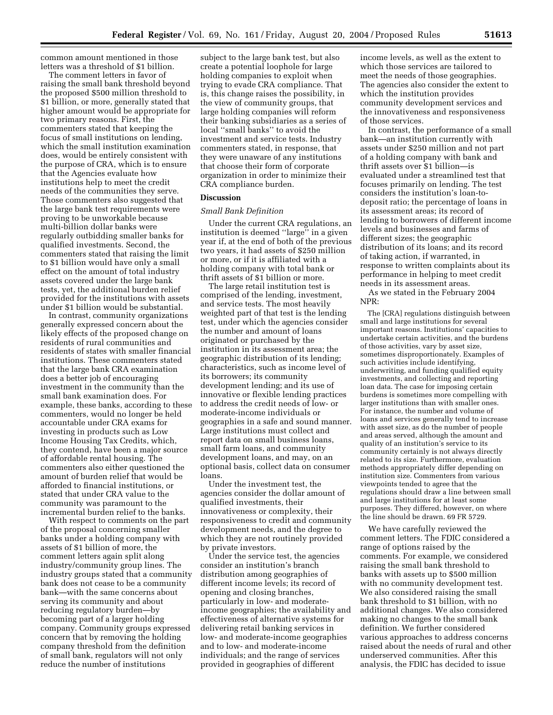common amount mentioned in those letters was a threshold of \$1 billion.

The comment letters in favor of raising the small bank threshold beyond the proposed \$500 million threshold to \$1 billion, or more, generally stated that higher amount would be appropriate for two primary reasons. First, the commenters stated that keeping the focus of small institutions on lending, which the small institution examination does, would be entirely consistent with the purpose of CRA, which is to ensure that the Agencies evaluate how institutions help to meet the credit needs of the communities they serve. Those commenters also suggested that the large bank test requirements were proving to be unworkable because multi-billion dollar banks were regularly outbidding smaller banks for qualified investments. Second, the commenters stated that raising the limit to \$1 billion would have only a small effect on the amount of total industry assets covered under the large bank tests, yet, the additional burden relief provided for the institutions with assets under \$1 billion would be substantial.

In contrast, community organizations generally expressed concern about the likely effects of the proposed change on residents of rural communities and residents of states with smaller financial institutions. These commenters stated that the large bank CRA examination does a better job of encouraging investment in the community than the small bank examination does. For example, these banks, according to these commenters, would no longer be held accountable under CRA exams for investing in products such as Low Income Housing Tax Credits, which, they contend, have been a major source of affordable rental housing. The commenters also either questioned the amount of burden relief that would be afforded to financial institutions, or stated that under CRA value to the community was paramount to the incremental burden relief to the banks.

With respect to comments on the part of the proposal concerning smaller banks under a holding company with assets of \$1 billion of more, the comment letters again split along industry/community group lines. The industry groups stated that a community bank does not cease to be a community bank—with the same concerns about serving its community and about reducing regulatory burden—by becoming part of a larger holding company. Community groups expressed concern that by removing the holding company threshold from the definition of small bank, regulators will not only reduce the number of institutions

subject to the large bank test, but also create a potential loophole for large holding companies to exploit when trying to evade CRA compliance. That is, this change raises the possibility, in the view of community groups, that large holding companies will reform their banking subsidiaries as a series of local ''small banks'' to avoid the investment and service tests. Industry commenters stated, in response, that they were unaware of any institutions that choose their form of corporate organization in order to minimize their CRA compliance burden.

### **Discussion**

#### *Small Bank Definition*

Under the current CRA regulations, an institution is deemed ''large'' in a given year if, at the end of both of the previous two years, it had assets of \$250 million or more, or if it is affiliated with a holding company with total bank or thrift assets of \$1 billion or more.

The large retail institution test is comprised of the lending, investment, and service tests. The most heavily weighted part of that test is the lending test, under which the agencies consider the number and amount of loans originated or purchased by the institution in its assessment area; the geographic distribution of its lending; characteristics, such as income level of its borrowers; its community development lending; and its use of innovative or flexible lending practices to address the credit needs of low- or moderate-income individuals or geographies in a safe and sound manner. Large institutions must collect and report data on small business loans, small farm loans, and community development loans, and may, on an optional basis, collect data on consumer loans.

Under the investment test, the agencies consider the dollar amount of qualified investments, their innovativeness or complexity, their responsiveness to credit and community development needs, and the degree to which they are not routinely provided by private investors.

Under the service test, the agencies consider an institution's branch distribution among geographies of different income levels; its record of opening and closing branches, particularly in low- and moderateincome geographies; the availability and effectiveness of alternative systems for delivering retail banking services in low- and moderate-income geographies and to low- and moderate-income individuals; and the range of services provided in geographies of different

income levels, as well as the extent to which those services are tailored to meet the needs of those geographies. The agencies also consider the extent to which the institution provides community development services and the innovativeness and responsiveness of those services.

In contrast, the performance of a small bank—an institution currently with assets under \$250 million and not part of a holding company with bank and thrift assets over \$1 billion—is evaluated under a streamlined test that focuses primarily on lending. The test considers the institution's loan-todeposit ratio; the percentage of loans in its assessment areas; its record of lending to borrowers of different income levels and businesses and farms of different sizes; the geographic distribution of its loans; and its record of taking action, if warranted, in response to written complaints about its performance in helping to meet credit needs in its assessment areas.

As we stated in the February 2004 NPR:

The [CRA] regulations distinguish between small and large institutions for several important reasons. Institutions' capacities to undertake certain activities, and the burdens of those activities, vary by asset size, sometimes disproportionately. Examples of such activities include identifying, underwriting, and funding qualified equity investments, and collecting and reporting loan data. The case for imposing certain burdens is sometimes more compelling with larger institutions than with smaller ones. For instance, the number and volume of loans and services generally tend to increase with asset size, as do the number of people and areas served, although the amount and quality of an institution's service to its community certainly is not always directly related to its size. Furthermore, evaluation methods appropriately differ depending on institution size. Commenters from various viewpoints tended to agree that the regulations should draw a line between small and large institutions for at least some purposes. They differed, however, on where the line should be drawn. 69 FR 5729.

We have carefully reviewed the comment letters. The FDIC considered a range of options raised by the comments. For example, we considered raising the small bank threshold to banks with assets up to \$500 million with no community development test. We also considered raising the small bank threshold to \$1 billion, with no additional changes. We also considered making no changes to the small bank definition. We further considered various approaches to address concerns raised about the needs of rural and other underserved communities. After this analysis, the FDIC has decided to issue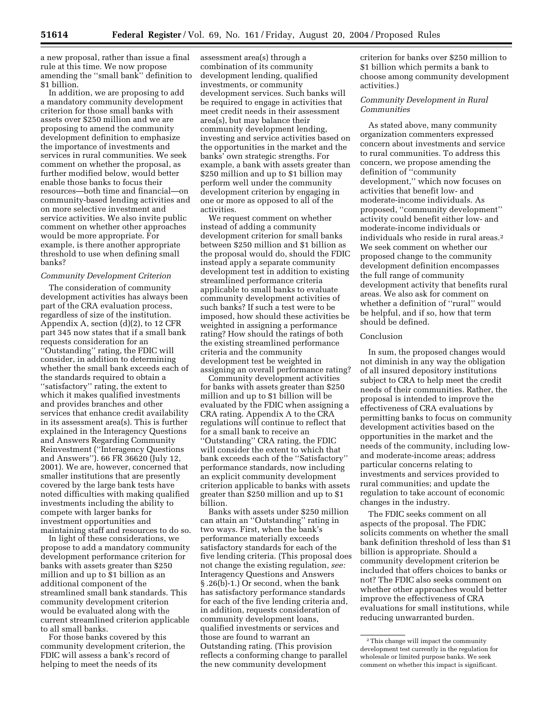a new proposal, rather than issue a final rule at this time. We now propose amending the ''small bank'' definition to \$1 billion.

In addition, we are proposing to add a mandatory community development criterion for those small banks with assets over \$250 million and we are proposing to amend the community development definition to emphasize the importance of investments and services in rural communities. We seek comment on whether the proposal, as further modified below, would better enable those banks to focus their resources—both time and financial—on community-based lending activities and on more selective investment and service activities. We also invite public comment on whether other approaches would be more appropriate. For example, is there another appropriate threshold to use when defining small banks?

## *Community Development Criterion*

The consideration of community development activities has always been part of the CRA evaluation process, regardless of size of the institution. Appendix A, section (d)(2), to 12 CFR part 345 now states that if a small bank requests consideration for an ''Outstanding'' rating, the FDIC will consider, in addition to determining whether the small bank exceeds each of the standards required to obtain a ''satisfactory'' rating, the extent to which it makes qualified investments and provides branches and other services that enhance credit availability in its assessment area(s). This is further explained in the Interagency Questions and Answers Regarding Community Reinvestment (''Interagency Questions and Answers''). 66 FR 36620 (July 12, 2001). We are, however, concerned that smaller institutions that are presently covered by the large bank tests have noted difficulties with making qualified investments including the ability to compete with larger banks for investment opportunities and maintaining staff and resources to do so.

In light of these considerations, we propose to add a mandatory community development performance criterion for banks with assets greater than \$250 million and up to \$1 billion as an additional component of the streamlined small bank standards. This community development criterion would be evaluated along with the current streamlined criterion applicable to all small banks.

For those banks covered by this community development criterion, the FDIC will assess a bank's record of helping to meet the needs of its

assessment area(s) through a combination of its community development lending, qualified investments, or community development services. Such banks will be required to engage in activities that meet credit needs in their assessment area(s), but may balance their community development lending, investing and service activities based on the opportunities in the market and the banks' own strategic strengths. For example, a bank with assets greater than \$250 million and up to \$1 billion may perform well under the community development criterion by engaging in one or more as opposed to all of the activities.

We request comment on whether instead of adding a community development criterion for small banks between \$250 million and \$1 billion as the proposal would do, should the FDIC instead apply a separate community development test in addition to existing streamlined performance criteria applicable to small banks to evaluate community development activities of such banks? If such a test were to be imposed, how should these activities be weighted in assigning a performance rating? How should the ratings of both the existing streamlined performance criteria and the community development test be weighted in assigning an overall performance rating?

Community development activities for banks with assets greater than \$250 million and up to \$1 billion will be evaluated by the FDIC when assigning a CRA rating. Appendix A to the CRA regulations will continue to reflect that for a small bank to receive an ''Outstanding'' CRA rating, the FDIC will consider the extent to which that bank exceeds each of the ''Satisfactory'' performance standards, now including an explicit community development criterion applicable to banks with assets greater than \$250 million and up to \$1 billion.

Banks with assets under \$250 million can attain an ''Outstanding'' rating in two ways. First, when the bank's performance materially exceeds satisfactory standards for each of the five lending criteria. (This proposal does not change the existing regulation, *see:* Interagency Questions and Answers § .26(b)-1.) Or second, when the bank has satisfactory performance standards for each of the five lending criteria and, in addition, requests consideration of community development loans, qualified investments or services and those are found to warrant an Outstanding rating. (This provision reflects a conforming change to parallel the new community development

criterion for banks over \$250 million to \$1 billion which permits a bank to choose among community development activities.)

## *Community Development in Rural Communities*

As stated above, many community organization commenters expressed concern about investments and service to rural communities. To address this concern, we propose amending the definition of ''community development,'' which now focuses on activities that benefit low- and moderate-income individuals. As proposed, ''community development'' activity could benefit either low- and moderate-income individuals or individuals who reside in rural areas.2 We seek comment on whether our proposed change to the community development definition encompasses the full range of community development activity that benefits rural areas. We also ask for comment on whether a definition of ''rural'' would be helpful, and if so, how that term should be defined.

## Conclusion

In sum, the proposed changes would not diminish in any way the obligation of all insured depository institutions subject to CRA to help meet the credit needs of their communities. Rather, the proposal is intended to improve the effectiveness of CRA evaluations by permitting banks to focus on community development activities based on the opportunities in the market and the needs of the community, including lowand moderate-income areas; address particular concerns relating to investments and services provided to rural communities; and update the regulation to take account of economic changes in the industry.

The FDIC seeks comment on all aspects of the proposal. The FDIC solicits comments on whether the small bank definition threshold of less than \$1 billion is appropriate. Should a community development criterion be included that offers choices to banks or not? The FDIC also seeks comment on whether other approaches would better improve the effectiveness of CRA evaluations for small institutions, while reducing unwarranted burden.

<sup>2</sup>This change will impact the community development test currently in the regulation for wholesale or limited purpose banks. We seek comment on whether this impact is significant.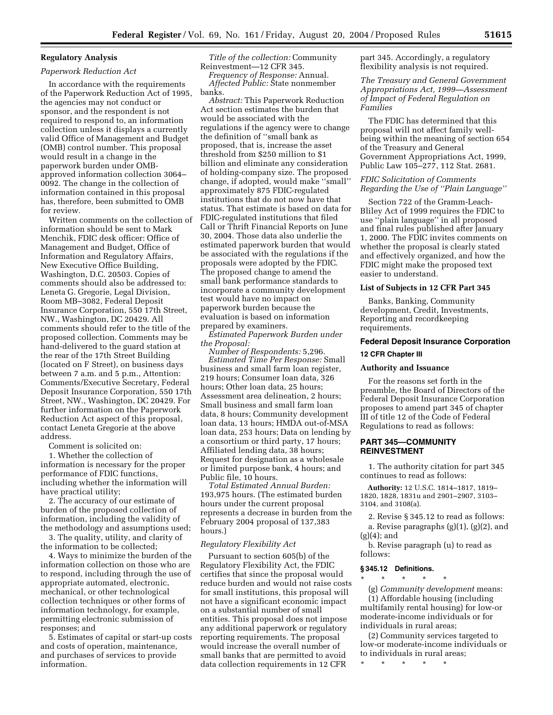## **Regulatory Analysis**

## *Paperwork Reduction Act*

In accordance with the requirements of the Paperwork Reduction Act of 1995, the agencies may not conduct or sponsor, and the respondent is not required to respond to, an information collection unless it displays a currently valid Office of Management and Budget (OMB) control number. This proposal would result in a change in the paperwork burden under OMBapproved information collection 3064– 0092. The change in the collection of information contained in this proposal has, therefore, been submitted to OMB for review.

Written comments on the collection of information should be sent to Mark Menchik, FDIC desk officer: Office of Management and Budget, Office of Information and Regulatory Affairs, New Executive Office Building, Washington, D.C. 20503. Copies of comments should also be addressed to: Leneta G. Gregorie, Legal Division, Room MB–3082, Federal Deposit Insurance Corporation, 550 17th Street, NW., Washington, DC 20429. All comments should refer to the title of the proposed collection. Comments may be hand-delivered to the guard station at the rear of the 17th Street Building (located on F Street), on business days between 7 a.m. and 5 p.m., Attention: Comments/Executive Secretary, Federal Deposit Insurance Corporation, 550 17th Street, NW., Washington, DC 20429. For further information on the Paperwork Reduction Act aspect of this proposal, contact Leneta Gregorie at the above address.

Comment is solicited on:

1. Whether the collection of information is necessary for the proper performance of FDIC functions, including whether the information will have practical utility;

2. The accuracy of our estimate of burden of the proposed collection of information, including the validity of the methodology and assumptions used;

3. The quality, utility, and clarity of the information to be collected;

4. Ways to minimize the burden of the information collection on those who are to respond, including through the use of appropriate automated, electronic, mechanical, or other technological collection techniques or other forms of information technology, for example, permitting electronic submission of responses; and

5. Estimates of capital or start-up costs and costs of operation, maintenance, and purchases of services to provide information.

*Title of the collection:* Community Reinvestment—12 CFR 345. *Frequency of Response:* Annual.

*Affected Public:* State nonmember banks.

*Abstract:* This Paperwork Reduction Act section estimates the burden that would be associated with the regulations if the agency were to change the definition of ''small bank as proposed, that is, increase the asset threshold from \$250 million to \$1 billion and eliminate any consideration of holding-company size. The proposed change, if adopted, would make ''small'' approximately 875 FDIC-regulated institutions that do not now have that status. That estimate is based on data for FDIC-regulated institutions that filed Call or Thrift Financial Reports on June 30, 2004. Those data also underlie the estimated paperwork burden that would be associated with the regulations if the proposals were adopted by the FDIC. The proposed change to amend the small bank performance standards to incorporate a community development test would have no impact on paperwork burden because the evaluation is based on information prepared by examiners.

*Estimated Paperwork Burden under the Proposal:*

*Number of Respondents:* 5,296. *Estimated Time Per Response:* Small business and small farm loan register, 219 hours; Consumer loan data, 326 hours; Other loan data, 25 hours; Assessment area delineation, 2 hours; Small business and small farm loan data, 8 hours; Community development loan data, 13 hours; HMDA out-of-MSA loan data, 253 hours; Data on lending by a consortium or third party, 17 hours; Affiliated lending data, 38 hours; Request for designation as a wholesale or limited purpose bank, 4 hours; and Public file, 10 hours.

*Total Estimated Annual Burden:* 193,975 hours. (The estimated burden hours under the current proposal represents a decrease in burden from the February 2004 proposal of 137,383 hours.)

#### *Regulatory Flexibility Act*

Pursuant to section 605(b) of the Regulatory Flexibility Act, the FDIC certifies that since the proposal would reduce burden and would not raise costs for small institutions, this proposal will not have a significant economic impact on a substantial number of small entities. This proposal does not impose any additional paperwork or regulatory reporting requirements. The proposal would increase the overall number of small banks that are permitted to avoid data collection requirements in 12 CFR

part 345. Accordingly, a regulatory flexibility analysis is not required.

*The Treasury and General Government Appropriations Act, 1999—Assessment of Impact of Federal Regulation on Families*

The FDIC has determined that this proposal will not affect family wellbeing within the meaning of section 654 of the Treasury and General Government Appropriations Act, 1999, Public Law 105–277, 112 Stat. 2681.

*FDIC Solicitation of Comments Regarding the Use of ''Plain Language''* 

Section 722 of the Gramm-Leach-Bliley Act of 1999 requires the FDIC to use ''plain language'' in all proposed and final rules published after January 1, 2000. The FDIC invites comments on whether the proposal is clearly stated and effectively organized, and how the FDIC might make the proposed text easier to understand.

### **List of Subjects in 12 CFR Part 345**

Banks, Banking, Community development, Credit, Investments, Reporting and recordkeeping requirements.

# **Federal Deposit Insurance Corporation 12 CFR Chapter III**

## **Authority and Issuance**

For the reasons set forth in the preamble, the Board of Directors of the Federal Deposit Insurance Corporation proposes to amend part 345 of chapter III of title 12 of the Code of Federal Regulations to read as follows:

## **PART 345—COMMUNITY REINVESTMENT**

1. The authority citation for part 345 continues to read as follows:

**Authority:** 12 U.S.C. 1814–1817, 1819– 1820, 1828, 1831u and 2901–2907, 3103– 3104, and 3108(a).

2. Revise § 345.12 to read as follows:

a. Revise paragraphs (g)(1), (g)(2), and (g)(4); and

b. Revise paragraph (u) to read as follows:

#### **§ 345.12 Definitions.**

\* \* \* \* \* (g) *Community development* means: (1) Affordable housing (including multifamily rental housing) for low-or moderate-income individuals or for individuals in rural areas;

(2) Community services targeted to low-or moderate-income individuals or to individuals in rural areas;

\* \* \* \* \*